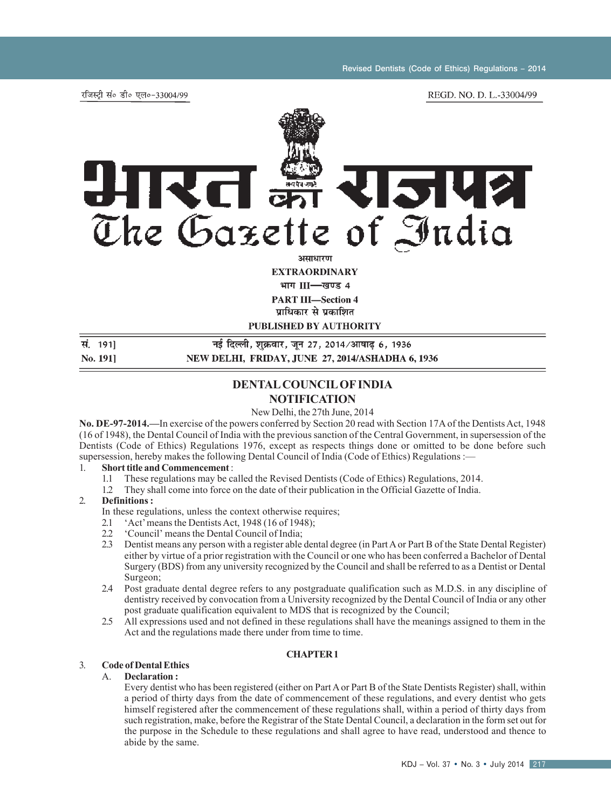रजिस्टी सं० डी० एल०-33004/99



**EXTRAORDINARY** 

भाग III-खण्ड 4

**PART III-Section 4** 

पाधिकार से प्रकाशित

**PUBLISHED BY AUTHORITY** 

#### सं. 1911 नई दिल्ली, शुक्रवार, जुन 27, 2014/आषाढ 6, 1936 No. 1911 NEW DELHI, FRIDAY, JUNE 27, 2014/ASHADHA 6, 1936

## **DENTAL COUNCIL OF INDIA NOTIFICATION**

New Delhi, the 27th June, 2014

**No. DE-97-2014.—**In exercise of the powers conferred by Section 20 read with Section 17A of the Dentists Act, 1948 (16 of 1948), the Dental Council of India with the previous sanction of the Central Government, in supersession of the Dentists (Code of Ethics) Regulations 1976, except as respects things done or omitted to be done before such supersession, hereby makes the following Dental Council of India (Code of Ethics) Regulations :—

- 1. **Short title and Commencement** :
	- 1.1 These regulations may be called the Revised Dentists (Code of Ethics) Regulations, 2014.
	- 1.2 They shall come into force on the date of their publication in the Official Gazette of India.

## 2. **Definitions :**

In these regulations, unless the context otherwise requires;

- 
- 2.1 'Act' means the Dentists Act, 1948 (16 of 1948);<br>2.2 'Council' means the Dental Council of India; 2.2 'Council' means the Dental Council of India;<br>2.3 Dentist means any person with a register able
- 2.3 Dentist means any person with a register able dental degree (in Part A or Part B of the State Dental Register) either by virtue of a prior registration with the Council or one who has been conferred a Bachelor of Dental Surgery (BDS) from any university recognized by the Council and shall be referred to as a Dentist or Dental Surgeon;
- 2.4 Post graduate dental degree refers to any postgraduate qualification such as M.D.S. in any discipline of dentistry received by convocation from a University recognized by the Dental Council of India or any other post graduate qualification equivalent to MDS that is recognized by the Council;
- 2.5 All expressions used and not defined in these regulations shall have the meanings assigned to them in the Act and the regulations made there under from time to time.

### **CHAPTER 1**

## 3. **Code of Dental Ethics**

#### A. **Declaration :**

Every dentist who has been registered (either on Part A or Part B of the State Dentists Register) shall, within a period of thirty days from the date of commencement of these regulations, and every dentist who gets himself registered after the commencement of these regulations shall, within a period of thirty days from such registration, make, before the Registrar of the State Dental Council, a declaration in the form set out for the purpose in the Schedule to these regulations and shall agree to have read, understood and thence to abide by the same.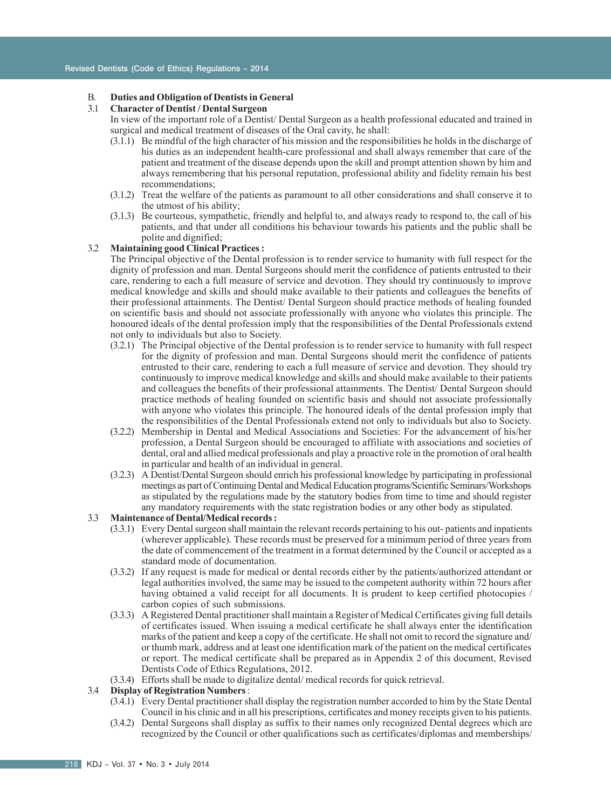# B. **Duties and Obligation of Dentists in General**

#### 3.1 **Character of Dentist / Dental Surgeon**

In view of the important role of a Dentist/ Dental Surgeon as a health professional educated and trained in surgical and medical treatment of diseases of the Oral cavity, he shall:

- (3.1.1) Be mindful of the high character of his mission and the responsibilities he holds in the discharge of his duties as an independent health-care professional and shall always remember that care of the patient and treatment of the disease depends upon the skill and prompt attention shown by him and always remembering that his personal reputation, professional ability and fidelity remain his best recommendations;
- (3.1.2) Treat the welfare of the patients as paramount to all other considerations and shall conserve it to the utmost of his ability;
- (3.1.3) Be courteous, sympathetic, friendly and helpful to, and always ready to respond to, the call of his patients, and that under all conditions his behaviour towards his patients and the public shall be polite and dignified;

## 3.2 **Maintaining good Clinical Practices :**

The Principal objective of the Dental profession is to render service to humanity with full respect for the dignity of profession and man. Dental Surgeons should merit the confidence of patients entrusted to their care, rendering to each a full measure of service and devotion. They should try continuously to improve medical knowledge and skills and should make available to their patients and colleagues the benefits of their professional attainments. The Dentist/ Dental Surgeon should practice methods of healing founded on scientific basis and should not associate professionally with anyone who violates this principle. The honoured ideals of the dental profession imply that the responsibilities of the Dental Professionals extend not only to individuals but also to Society.

- (3.2.1) The Principal objective of the Dental profession is to render service to humanity with full respect for the dignity of profession and man. Dental Surgeons should merit the confidence of patients entrusted to their care, rendering to each a full measure of service and devotion. They should try continuously to improve medical knowledge and skills and should make available to their patients and colleagues the benefits of their professional attainments. The Dentist/ Dental Surgeon should practice methods of healing founded on scientific basis and should not associate professionally with anyone who violates this principle. The honoured ideals of the dental profession imply that the responsibilities of the Dental Professionals extend not only to individuals but also to Society.
- (3.2.2) Membership in Dental and Medical Associations and Societies: For the advancement of his/her profession, a Dental Surgeon should be encouraged to affiliate with associations and societies of dental, oral and allied medical professionals and play a proactive role in the promotion of oral health in particular and health of an individual in general.
- (3.2.3) A Dentist/Dental Surgeon should enrich his professional knowledge by participating in professional meetings as part of Continuing Dental and Medical Education programs/Scientific Seminars/Workshops as stipulated by the regulations made by the statutory bodies from time to time and should register any mandatory requirements with the state registration bodies or any other body as stipulated.

## 3.3 **Maintenance of Dental/Medical records :**

- (3.3.1) Every Dental surgeon shall maintain the relevant records pertaining to his out- patients and inpatients (wherever applicable). These records must be preserved for a minimum period of three years from the date of commencement of the treatment in a format determined by the Council or accepted as a standard mode of documentation.
- (3.3.2) If any request is made for medical or dental records either by the patients/authorized attendant or legal authorities involved, the same may be issued to the competent authority within 72 hours after having obtained a valid receipt for all documents. It is prudent to keep certified photocopies / carbon copies of such submissions.
- (3.3.3) A Registered Dental practitioner shall maintain a Register of Medical Certificates giving full details of certificates issued. When issuing a medical certificate he shall always enter the identification marks of the patient and keep a copy of the certificate. He shall not omit to record the signature and/ or thumb mark, address and at least one identification mark of the patient on the medical certificates or report. The medical certificate shall be prepared as in Appendix 2 of this document, Revised Dentists Code of Ethics Regulations, 2012.
- (3.3.4) Efforts shall be made to digitalize dental/ medical records for quick retrieval.

## 3.4 **Display of Registration Numbers** :

- (3.4.1) Every Dental practitioner shall display the registration number accorded to him by the State Dental Council in his clinic and in all his prescriptions, certificates and money receipts given to his patients.
- (3.4.2) Dental Surgeons shall display as suffix to their names only recognized Dental degrees which are recognized by the Council or other qualifications such as certificates/diplomas and memberships/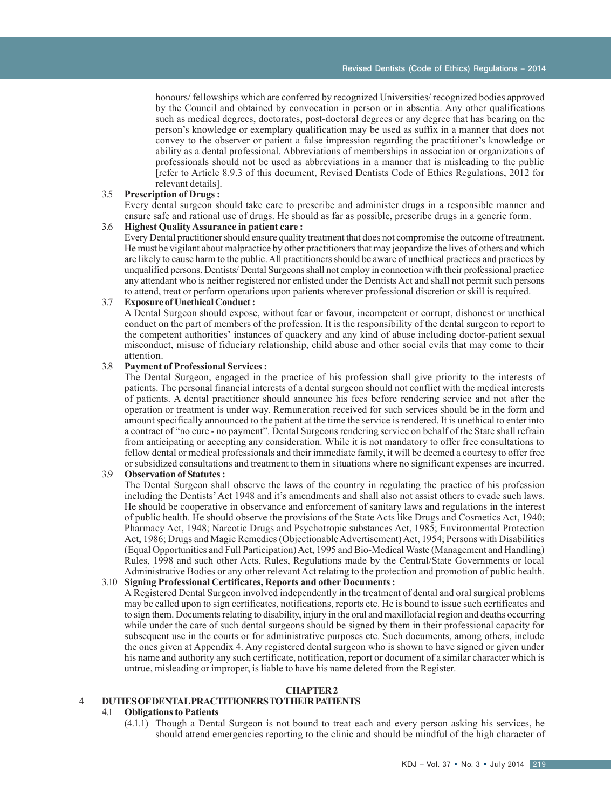honours/ fellowships which are conferred by recognized Universities/ recognized bodies approved by the Council and obtained by convocation in person or in absentia. Any other qualifications such as medical degrees, doctorates, post-doctoral degrees or any degree that has bearing on the person's knowledge or exemplary qualification may be used as suffix in a manner that does not convey to the observer or patient a false impression regarding the practitioner's knowledge or ability as a dental professional. Abbreviations of memberships in association or organizations of professionals should not be used as abbreviations in a manner that is misleading to the public [refer to Article 8.9.3 of this document, Revised Dentists Code of Ethics Regulations, 2012 for relevant details].

#### 3.5 **Prescription of Drugs :**

Every dental surgeon should take care to prescribe and administer drugs in a responsible manner and ensure safe and rational use of drugs. He should as far as possible, prescribe drugs in a generic form.

#### 3.6 **Highest Quality Assurance in patient care :**

Every Dental practitioner should ensure quality treatment that does not compromise the outcome of treatment. He must be vigilant about malpractice by other practitioners that may jeopardize the lives of others and which are likely to cause harm to the public. All practitioners should be aware of unethical practices and practices by unqualified persons. Dentists/ Dental Surgeons shall not employ in connection with their professional practice any attendant who is neither registered nor enlisted under the Dentists Act and shall not permit such persons to attend, treat or perform operations upon patients wherever professional discretion or skill is required.

#### 3.7 **Exposure of Unethical Conduct :**

A Dental Surgeon should expose, without fear or favour, incompetent or corrupt, dishonest or unethical conduct on the part of members of the profession. It is the responsibility of the dental surgeon to report to the competent authorities' instances of quackery and any kind of abuse including doctor-patient sexual misconduct, misuse of fiduciary relationship, child abuse and other social evils that may come to their attention.

#### 3.8 **Payment of Professional Services :**

The Dental Surgeon, engaged in the practice of his profession shall give priority to the interests of patients. The personal financial interests of a dental surgeon should not conflict with the medical interests of patients. A dental practitioner should announce his fees before rendering service and not after the operation or treatment is under way. Remuneration received for such services should be in the form and amount specifically announced to the patient at the time the service is rendered. It is unethical to enter into a contract of "no cure - no payment". Dental Surgeons rendering service on behalf of the State shall refrain from anticipating or accepting any consideration. While it is not mandatory to offer free consultations to fellow dental or medical professionals and their immediate family, it will be deemed a courtesy to offer free or subsidized consultations and treatment to them in situations where no significant expenses are incurred.

## 3.9 **Observation of Statutes :**

The Dental Surgeon shall observe the laws of the country in regulating the practice of his profession including the Dentists' Act 1948 and it's amendments and shall also not assist others to evade such laws. He should be cooperative in observance and enforcement of sanitary laws and regulations in the interest of public health. He should observe the provisions of the State Acts like Drugs and Cosmetics Act, 1940; Pharmacy Act, 1948; Narcotic Drugs and Psychotropic substances Act, 1985; Environmental Protection Act, 1986; Drugs and Magic Remedies (Objectionable Advertisement) Act, 1954; Persons with Disabilities (Equal Opportunities and Full Participation) Act, 1995 and Bio-Medical Waste (Management and Handling) Rules, 1998 and such other Acts, Rules, Regulations made by the Central/State Governments or local Administrative Bodies or any other relevant Act relating to the protection and promotion of public health.

#### 3.10 **Signing Professional Certificates, Reports and other Documents :**

A Registered Dental Surgeon involved independently in the treatment of dental and oral surgical problems may be called upon to sign certificates, notifications, reports etc. He is bound to issue such certificates and to sign them. Documents relating to disability, injury in the oral and maxillofacial region and deaths occurring while under the care of such dental surgeons should be signed by them in their professional capacity for subsequent use in the courts or for administrative purposes etc. Such documents, among others, include the ones given at Appendix 4. Any registered dental surgeon who is shown to have signed or given under his name and authority any such certificate, notification, report or document of a similar character which is untrue, misleading or improper, is liable to have his name deleted from the Register.

## **CHAPTER 2**

## 4 **DUTIES OF DENTAL PRACTITIONERS TO THEIR PATIENTS**

## 4.1 **Obligations to Patients**

(4.1.1) Though a Dental Surgeon is not bound to treat each and every person asking his services, he should attend emergencies reporting to the clinic and should be mindful of the high character of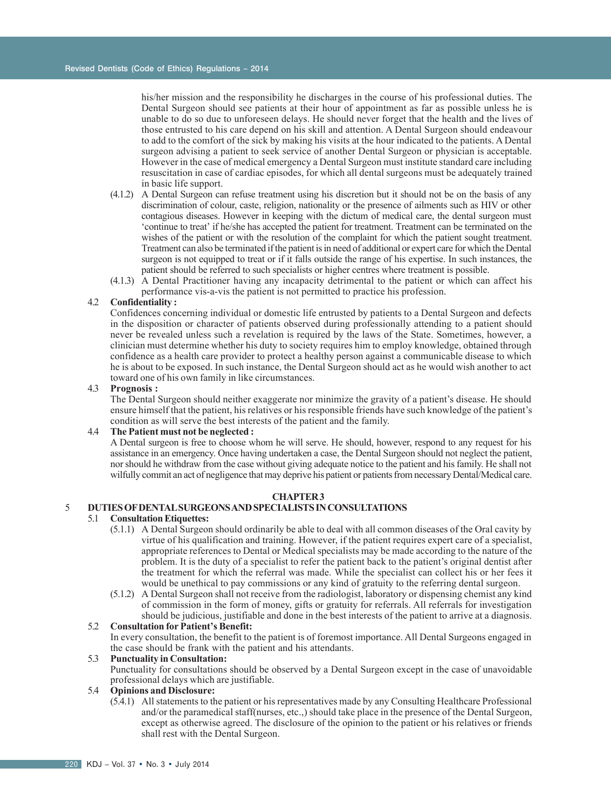his/her mission and the responsibility he discharges in the course of his professional duties. The Dental Surgeon should see patients at their hour of appointment as far as possible unless he is unable to do so due to unforeseen delays. He should never forget that the health and the lives of those entrusted to his care depend on his skill and attention. A Dental Surgeon should endeavour to add to the comfort of the sick by making his visits at the hour indicated to the patients. A Dental surgeon advising a patient to seek service of another Dental Surgeon or physician is acceptable. However in the case of medical emergency a Dental Surgeon must institute standard care including resuscitation in case of cardiac episodes, for which all dental surgeons must be adequately trained in basic life support.

- (4.1.2) A Dental Surgeon can refuse treatment using his discretion but it should not be on the basis of any discrimination of colour, caste, religion, nationality or the presence of ailments such as HIV or other contagious diseases. However in keeping with the dictum of medical care, the dental surgeon must 'continue to treat' if he/she has accepted the patient for treatment. Treatment can be terminated on the wishes of the patient or with the resolution of the complaint for which the patient sought treatment. Treatment can also be terminated if the patient is in need of additional or expert care for which the Dental surgeon is not equipped to treat or if it falls outside the range of his expertise. In such instances, the patient should be referred to such specialists or higher centres where treatment is possible.
- (4.1.3) A Dental Practitioner having any incapacity detrimental to the patient or which can affect his performance vis-a-vis the patient is not permitted to practice his profession.

## 4.2 **Confidentiality :**

Confidences concerning individual or domestic life entrusted by patients to a Dental Surgeon and defects in the disposition or character of patients observed during professionally attending to a patient should never be revealed unless such a revelation is required by the laws of the State. Sometimes, however, a clinician must determine whether his duty to society requires him to employ knowledge, obtained through confidence as a health care provider to protect a healthy person against a communicable disease to which he is about to be exposed. In such instance, the Dental Surgeon should act as he would wish another to act toward one of his own family in like circumstances.

#### 4.3 **Prognosis :**

The Dental Surgeon should neither exaggerate nor minimize the gravity of a patient's disease. He should ensure himself that the patient, his relatives or his responsible friends have such knowledge of the patient's condition as will serve the best interests of the patient and the family.

## 4.4 **The Patient must not be neglected :**

A Dental surgeon is free to choose whom he will serve. He should, however, respond to any request for his assistance in an emergency. Once having undertaken a case, the Dental Surgeon should not neglect the patient, nor should he withdraw from the case without giving adequate notice to the patient and his family. He shall not wilfully commit an act of negligence that may deprive his patient or patients from necessary Dental/Medical care.

## **CHAPTER 3**

## 5 **DUTIES OF DENTAL SURGEONS AND SPECIALISTS IN CONSULTATIONS**

#### 5.1 **Consultation Etiquettes:**

- (5.1.1) A Dental Surgeon should ordinarily be able to deal with all common diseases of the Oral cavity by virtue of his qualification and training. However, if the patient requires expert care of a specialist, appropriate references to Dental or Medical specialists may be made according to the nature of the problem. It is the duty of a specialist to refer the patient back to the patient's original dentist after the treatment for which the referral was made. While the specialist can collect his or her fees it would be unethical to pay commissions or any kind of gratuity to the referring dental surgeon.
- (5.1.2) A Dental Surgeon shall not receive from the radiologist, laboratory or dispensing chemist any kind of commission in the form of money, gifts or gratuity for referrals. All referrals for investigation should be judicious, justifiable and done in the best interests of the patient to arrive at a diagnosis.

## 5.2 **Consultation for Patient's Benefit:**

In every consultation, the benefit to the patient is of foremost importance. All Dental Surgeons engaged in the case should be frank with the patient and his attendants.

## 5.3 **Punctuality in Consultation:**

Punctuality for consultations should be observed by a Dental Surgeon except in the case of unavoidable professional delays which are justifiable.

## 5.4 **Opinions and Disclosure:**

(5.4.1) All statements to the patient or his representatives made by any Consulting Healthcare Professional and/or the paramedical staff(nurses, etc.,) should take place in the presence of the Dental Surgeon, except as otherwise agreed. The disclosure of the opinion to the patient or his relatives or friends shall rest with the Dental Surgeon.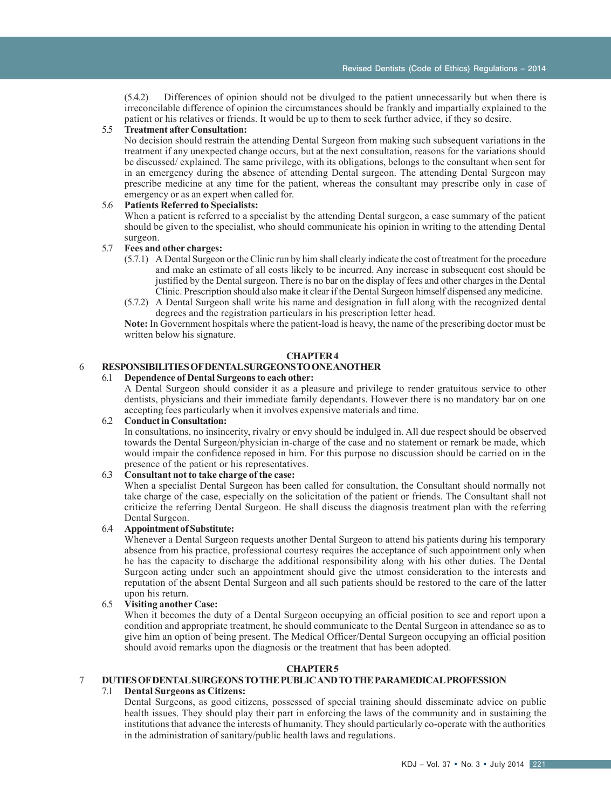(5.4.2) Differences of opinion should not be divulged to the patient unnecessarily but when there is irreconcilable difference of opinion the circumstances should be frankly and impartially explained to the patient or his relatives or friends. It would be up to them to seek further advice, if they so desire.

#### 5.5 **Treatment after Consultation:**

No decision should restrain the attending Dental Surgeon from making such subsequent variations in the treatment if any unexpected change occurs, but at the next consultation, reasons for the variations should be discussed/ explained. The same privilege, with its obligations, belongs to the consultant when sent for in an emergency during the absence of attending Dental surgeon. The attending Dental Surgeon may prescribe medicine at any time for the patient, whereas the consultant may prescribe only in case of emergency or as an expert when called for.

#### 5.6 **Patients Referred to Specialists:**

When a patient is referred to a specialist by the attending Dental surgeon, a case summary of the patient should be given to the specialist, who should communicate his opinion in writing to the attending Dental surgeon.

#### 5.7 **Fees and other charges:**

- (5.7.1) A Dental Surgeon or the Clinic run by him shall clearly indicate the cost of treatment for the procedure and make an estimate of all costs likely to be incurred. Any increase in subsequent cost should be justified by the Dental surgeon. There is no bar on the display of fees and other charges in the Dental Clinic. Prescription should also make it clear if the Dental Surgeon himself dispensed any medicine.
- (5.7.2) A Dental Surgeon shall write his name and designation in full along with the recognized dental degrees and the registration particulars in his prescription letter head.

**Note:** In Government hospitals where the patient-load is heavy, the name of the prescribing doctor must be written below his signature.

### **CHAPTER 4**

# 6 **RESPONSIBILITIES OF DENTAL SURGEONS TO ONE ANOTHER**

#### 6.1 **Dependence of Dental Surgeons to each other:**

A Dental Surgeon should consider it as a pleasure and privilege to render gratuitous service to other dentists, physicians and their immediate family dependants. However there is no mandatory bar on one accepting fees particularly when it involves expensive materials and time.

## 6.2 **Conduct in Consultation:**

In consultations, no insincerity, rivalry or envy should be indulged in. All due respect should be observed towards the Dental Surgeon/physician in-charge of the case and no statement or remark be made, which would impair the confidence reposed in him. For this purpose no discussion should be carried on in the presence of the patient or his representatives.

## 6.3 **Consultant not to take charge of the case:**

When a specialist Dental Surgeon has been called for consultation, the Consultant should normally not take charge of the case, especially on the solicitation of the patient or friends. The Consultant shall not criticize the referring Dental Surgeon. He shall discuss the diagnosis treatment plan with the referring Dental Surgeon.

## 6.4 **Appointment of Substitute:**

Whenever a Dental Surgeon requests another Dental Surgeon to attend his patients during his temporary absence from his practice, professional courtesy requires the acceptance of such appointment only when he has the capacity to discharge the additional responsibility along with his other duties. The Dental Surgeon acting under such an appointment should give the utmost consideration to the interests and reputation of the absent Dental Surgeon and all such patients should be restored to the care of the latter upon his return.

### 6.5 **Visiting another Case:**

When it becomes the duty of a Dental Surgeon occupying an official position to see and report upon a condition and appropriate treatment, he should communicate to the Dental Surgeon in attendance so as to give him an option of being present. The Medical Officer/Dental Surgeon occupying an official position should avoid remarks upon the diagnosis or the treatment that has been adopted.

## **CHAPTER 5**

## 7 **DUTIES OF DENTAL SURGEONS TO THE PUBLIC AND TO THE PARAMEDICAL PROFESSION**

## 7.1 **Dental Surgeons as Citizens:**

Dental Surgeons, as good citizens, possessed of special training should disseminate advice on public health issues. They should play their part in enforcing the laws of the community and in sustaining the institutions that advance the interests of humanity. They should particularly co-operate with the authorities in the administration of sanitary/public health laws and regulations.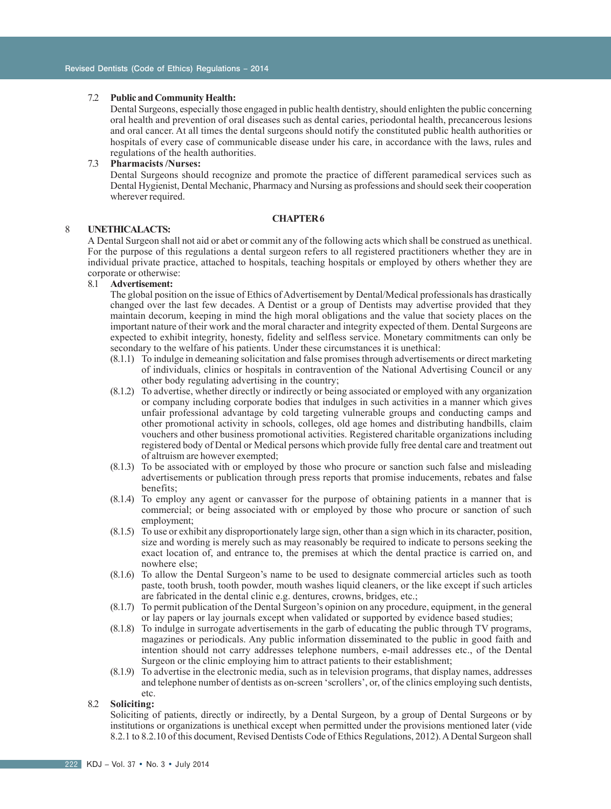#### 7.2 **Public and Community Health:**

Dental Surgeons, especially those engaged in public health dentistry, should enlighten the public concerning oral health and prevention of oral diseases such as dental caries, periodontal health, precancerous lesions and oral cancer. At all times the dental surgeons should notify the constituted public health authorities or hospitals of every case of communicable disease under his care, in accordance with the laws, rules and regulations of the health authorities.

#### 7.3 **Pharmacists /Nurses:**

Dental Surgeons should recognize and promote the practice of different paramedical services such as Dental Hygienist, Dental Mechanic, Pharmacy and Nursing as professions and should seek their cooperation wherever required.

## **CHAPTER 6**

## 8 **UNETHICALACTS:**

A Dental Surgeon shall not aid or abet or commit any of the following acts which shall be construed as unethical. For the purpose of this regulations a dental surgeon refers to all registered practitioners whether they are in individual private practice, attached to hospitals, teaching hospitals or employed by others whether they are corporate or otherwise:<br>8.1 **Advertisement:** 

#### 8.1 **Advertisement:**

The global position on the issue of Ethics of Advertisement by Dental/Medical professionals has drastically changed over the last few decades. A Dentist or a group of Dentists may advertise provided that they maintain decorum, keeping in mind the high moral obligations and the value that society places on the important nature of their work and the moral character and integrity expected of them. Dental Surgeons are expected to exhibit integrity, honesty, fidelity and selfless service. Monetary commitments can only be secondary to the welfare of his patients. Under these circumstances it is unethical:

- (8.1.1) To indulge in demeaning solicitation and false promises through advertisements or direct marketing of individuals, clinics or hospitals in contravention of the National Advertising Council or any other body regulating advertising in the country;
- (8.1.2) To advertise, whether directly or indirectly or being associated or employed with any organization or company including corporate bodies that indulges in such activities in a manner which gives unfair professional advantage by cold targeting vulnerable groups and conducting camps and other promotional activity in schools, colleges, old age homes and distributing handbills, claim vouchers and other business promotional activities. Registered charitable organizations including registered body of Dental or Medical persons which provide fully free dental care and treatment out of altruism are however exempted;
- (8.1.3) To be associated with or employed by those who procure or sanction such false and misleading advertisements or publication through press reports that promise inducements, rebates and false benefits;
- (8.1.4) To employ any agent or canvasser for the purpose of obtaining patients in a manner that is commercial; or being associated with or employed by those who procure or sanction of such employment;
- (8.1.5) To use or exhibit any disproportionately large sign, other than a sign which in its character, position, size and wording is merely such as may reasonably be required to indicate to persons seeking the exact location of, and entrance to, the premises at which the dental practice is carried on, and nowhere else;
- (8.1.6) To allow the Dental Surgeon's name to be used to designate commercial articles such as tooth paste, tooth brush, tooth powder, mouth washes liquid cleaners, or the like except if such articles are fabricated in the dental clinic e.g. dentures, crowns, bridges, etc.;
- (8.1.7) To permit publication of the Dental Surgeon's opinion on any procedure, equipment, in the general or lay papers or lay journals except when validated or supported by evidence based studies;
- (8.1.8) To indulge in surrogate advertisements in the garb of educating the public through TV programs, magazines or periodicals. Any public information disseminated to the public in good faith and intention should not carry addresses telephone numbers, e-mail addresses etc., of the Dental Surgeon or the clinic employing him to attract patients to their establishment;
- (8.1.9) To advertise in the electronic media, such as in television programs, that display names, addresses and telephone number of dentists as on-screen 'scrollers', or, of the clinics employing such dentists, etc.

#### 8.2 **Soliciting:**

Soliciting of patients, directly or indirectly, by a Dental Surgeon, by a group of Dental Surgeons or by institutions or organizations is unethical except when permitted under the provisions mentioned later (vide 8.2.1 to 8.2.10 of this document, Revised Dentists Code of Ethics Regulations, 2012). A Dental Surgeon shall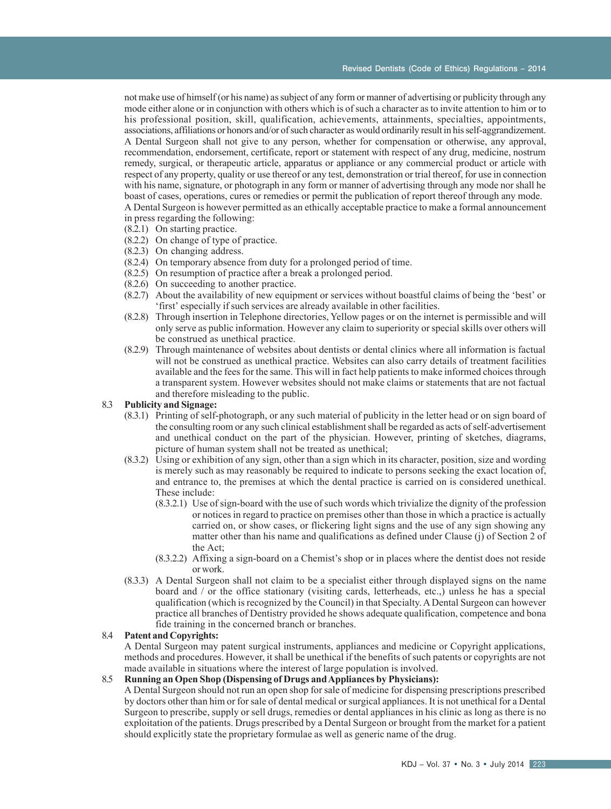not make use of himself (or his name) as subject of any form or manner of advertising or publicity through any mode either alone or in conjunction with others which is of such a character as to invite attention to him or to his professional position, skill, qualification, achievements, attainments, specialties, appointments, associations, affiliations or honors and/or of such character as would ordinarily result in his self-aggrandizement. A Dental Surgeon shall not give to any person, whether for compensation or otherwise, any approval, recommendation, endorsement, certificate, report or statement with respect of any drug, medicine, nostrum remedy, surgical, or therapeutic article, apparatus or appliance or any commercial product or article with respect of any property, quality or use thereof or any test, demonstration or trial thereof, for use in connection with his name, signature, or photograph in any form or manner of advertising through any mode nor shall he boast of cases, operations, cures or remedies or permit the publication of report thereof through any mode. A Dental Surgeon is however permitted as an ethically acceptable practice to make a formal announcement

- in press regarding the following: (8.2.1) On starting practice.
- (8.2.2) On change of type of practice.
- (8.2.3) On changing address.
- (8.2.4) On temporary absence from duty for a prolonged period of time.
- (8.2.5) On resumption of practice after a break a prolonged period.
- (8.2.6) On succeeding to another practice.
- (8.2.7) About the availability of new equipment or services without boastful claims of being the 'best' or 'first' especially if such services are already available in other facilities.
- (8.2.8) Through insertion in Telephone directories, Yellow pages or on the internet is permissible and will only serve as public information. However any claim to superiority or special skills over others will be construed as unethical practice.
- (8.2.9) Through maintenance of websites about dentists or dental clinics where all information is factual will not be construed as unethical practice. Websites can also carry details of treatment facilities available and the fees for the same. This will in fact help patients to make informed choices through a transparent system. However websites should not make claims or statements that are not factual and therefore misleading to the public.

## 8.3 **Publicity and Signage:**

- (8.3.1) Printing of self-photograph, or any such material of publicity in the letter head or on sign board of the consulting room or any such clinical establishment shall be regarded as acts of self-advertisement and unethical conduct on the part of the physician. However, printing of sketches, diagrams, picture of human system shall not be treated as unethical;
- (8.3.2) Using or exhibition of any sign, other than a sign which in its character, position, size and wording is merely such as may reasonably be required to indicate to persons seeking the exact location of, and entrance to, the premises at which the dental practice is carried on is considered unethical. These include:
	- (8.3.2.1) Use of sign-board with the use of such words which trivialize the dignity of the profession or notices in regard to practice on premises other than those in which a practice is actually carried on, or show cases, or flickering light signs and the use of any sign showing any matter other than his name and qualifications as defined under Clause (j) of Section 2 of the Act;
	- (8.3.2.2) Affixing a sign-board on a Chemist's shop or in places where the dentist does not reside or work.
- (8.3.3) A Dental Surgeon shall not claim to be a specialist either through displayed signs on the name board and / or the office stationary (visiting cards, letterheads, etc.,) unless he has a special qualification (which is recognized by the Council) in that Specialty. A Dental Surgeon can however practice all branches of Dentistry provided he shows adequate qualification, competence and bona fide training in the concerned branch or branches.

#### 8.4 **Patent and Copyrights:**

A Dental Surgeon may patent surgical instruments, appliances and medicine or Copyright applications, methods and procedures. However, it shall be unethical if the benefits of such patents or copyrights are not made available in situations where the interest of large population is involved.

#### 8.5 **Running an Open Shop (Dispensing of Drugs and Appliances by Physicians):**

A Dental Surgeon should not run an open shop for sale of medicine for dispensing prescriptions prescribed by doctors other than him or for sale of dental medical or surgical appliances. It is not unethical for a Dental Surgeon to prescribe, supply or sell drugs, remedies or dental appliances in his clinic as long as there is no exploitation of the patients. Drugs prescribed by a Dental Surgeon or brought from the market for a patient should explicitly state the proprietary formulae as well as generic name of the drug.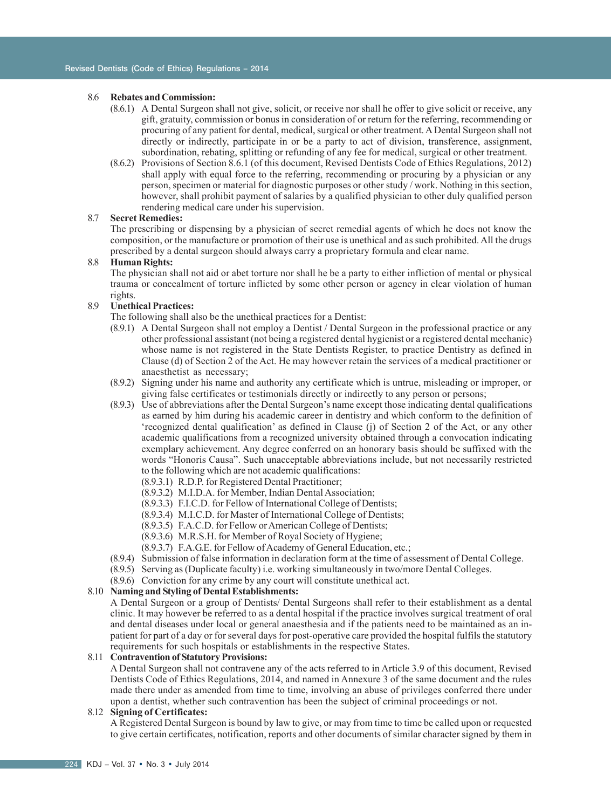#### 8.6 **Rebates and Commission:**

- (8.6.1) A Dental Surgeon shall not give, solicit, or receive nor shall he offer to give solicit or receive, any gift, gratuity, commission or bonus in consideration of or return for the referring, recommending or procuring of any patient for dental, medical, surgical or other treatment. A Dental Surgeon shall not directly or indirectly, participate in or be a party to act of division, transference, assignment, subordination, rebating, splitting or refunding of any fee for medical, surgical or other treatment.
- (8.6.2) Provisions of Section 8.6.1 (of this document, Revised Dentists Code of Ethics Regulations, 2012) shall apply with equal force to the referring, recommending or procuring by a physician or any person, specimen or material for diagnostic purposes or other study / work. Nothing in this section, however, shall prohibit payment of salaries by a qualified physician to other duly qualified person rendering medical care under his supervision.

## 8.7 **Secret Remedies:**

The prescribing or dispensing by a physician of secret remedial agents of which he does not know the composition, or the manufacture or promotion of their use is unethical and as such prohibited. All the drugs prescribed by a dental surgeon should always carry a proprietary formula and clear name.

#### 8.8 **Human Rights:**

The physician shall not aid or abet torture nor shall he be a party to either infliction of mental or physical trauma or concealment of torture inflicted by some other person or agency in clear violation of human rights.

## 8.9 **Unethical Practices:**

- The following shall also be the unethical practices for a Dentist:
- (8.9.1) A Dental Surgeon shall not employ a Dentist / Dental Surgeon in the professional practice or any other professional assistant (not being a registered dental hygienist or a registered dental mechanic) whose name is not registered in the State Dentists Register, to practice Dentistry as defined in Clause (d) of Section 2 of the Act. He may however retain the services of a medical practitioner or anaesthetist as necessary;
- (8.9.2) Signing under his name and authority any certificate which is untrue, misleading or improper, or giving false certificates or testimonials directly or indirectly to any person or persons;
- (8.9.3) Use of abbreviations after the Dental Surgeon's name except those indicating dental qualifications as earned by him during his academic career in dentistry and which conform to the definition of 'recognized dental qualification' as defined in Clause (j) of Section 2 of the Act, or any other academic qualifications from a recognized university obtained through a convocation indicating exemplary achievement. Any degree conferred on an honorary basis should be suffixed with the words "Honoris Causa". Such unacceptable abbreviations include, but not necessarily restricted to the following which are not academic qualifications:
	- (8.9.3.1) R.D.P. for Registered Dental Practitioner;
	- (8.9.3.2) M.I.D.A. for Member, Indian Dental Association;
	- (8.9.3.3) F.I.C.D. for Fellow of International College of Dentists;
	- (8.9.3.4) M.I.C.D. for Master of International College of Dentists;
	- (8.9.3.5) F.A.C.D. for Fellow or American College of Dentists;
	- (8.9.3.6) M.R.S.H. for Member of Royal Society of Hygiene;
	- (8.9.3.7) F.A.G.E. for Fellow of Academy of General Education, etc.;
- (8.9.4) Submission of false information in declaration form at the time of assessment of Dental College.
- (8.9.5) Serving as (Duplicate faculty) i.e. working simultaneously in two/more Dental Colleges.
- (8.9.6) Conviction for any crime by any court will constitute unethical act.

## 8.10 **Naming and Styling of Dental Establishments:**

A Dental Surgeon or a group of Dentists/ Dental Surgeons shall refer to their establishment as a dental clinic. It may however be referred to as a dental hospital if the practice involves surgical treatment of oral and dental diseases under local or general anaesthesia and if the patients need to be maintained as an inpatient for part of a day or for several days for post-operative care provided the hospital fulfils the statutory requirements for such hospitals or establishments in the respective States.

## 8.11 **Contravention of Statutory Provisions:**

A Dental Surgeon shall not contravene any of the acts referred to in Article 3.9 of this document, Revised Dentists Code of Ethics Regulations, 2014, and named in Annexure 3 of the same document and the rules made there under as amended from time to time, involving an abuse of privileges conferred there under upon a dentist, whether such contravention has been the subject of criminal proceedings or not.

## 8.12 **Signing of Certificates:**

A Registered Dental Surgeon is bound by law to give, or may from time to time be called upon or requested to give certain certificates, notification, reports and other documents of similar character signed by them in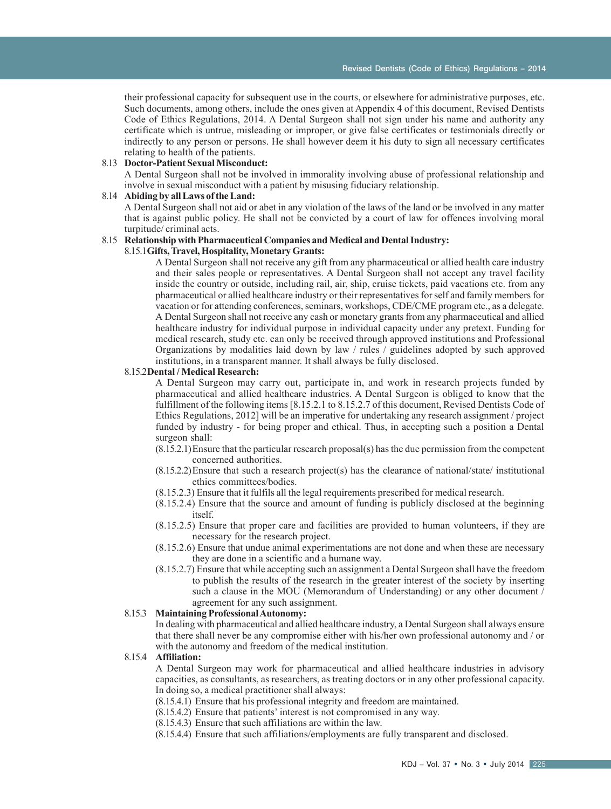their professional capacity for subsequent use in the courts, or elsewhere for administrative purposes, etc. Such documents, among others, include the ones given at Appendix 4 of this document, Revised Dentists Code of Ethics Regulations, 2014. A Dental Surgeon shall not sign under his name and authority any certificate which is untrue, misleading or improper, or give false certificates or testimonials directly or indirectly to any person or persons. He shall however deem it his duty to sign all necessary certificates relating to health of the patients.

## 8.13 **Doctor-Patient Sexual Misconduct:**

A Dental Surgeon shall not be involved in immorality involving abuse of professional relationship and involve in sexual misconduct with a patient by misusing fiduciary relationship.

### 8.14 **Abiding by all Laws of the Land:**

A Dental Surgeon shall not aid or abet in any violation of the laws of the land or be involved in any matter that is against public policy. He shall not be convicted by a court of law for offences involving moral turpitude/ criminal acts.

## 8.15 **Relationship with Pharmaceutical Companies and Medical and Dental Industry:**

## 8.15.1**Gifts, Travel, Hospitality, Monetary Grants:**

A Dental Surgeon shall not receive any gift from any pharmaceutical or allied health care industry and their sales people or representatives. A Dental Surgeon shall not accept any travel facility inside the country or outside, including rail, air, ship, cruise tickets, paid vacations etc. from any pharmaceutical or allied healthcare industry or their representatives for self and family members for vacation or for attending conferences, seminars, workshops, CDE/CME program etc., as a delegate. A Dental Surgeon shall not receive any cash or monetary grants from any pharmaceutical and allied healthcare industry for individual purpose in individual capacity under any pretext. Funding for medical research, study etc. can only be received through approved institutions and Professional Organizations by modalities laid down by law / rules / guidelines adopted by such approved institutions, in a transparent manner. It shall always be fully disclosed.

#### 8.15.2**Dental / Medical Research:**

A Dental Surgeon may carry out, participate in, and work in research projects funded by pharmaceutical and allied healthcare industries. A Dental Surgeon is obliged to know that the fulfillment of the following items [8.15.2.1 to 8.15.2.7 of this document, Revised Dentists Code of Ethics Regulations, 2012] will be an imperative for undertaking any research assignment / project funded by industry - for being proper and ethical. Thus, in accepting such a position a Dental surgeon shall:

- (8.15.2.1)Ensure that the particular research proposal(s) has the due permission from the competent concerned authorities.
- (8.15.2.2)Ensure that such a research project(s) has the clearance of national/state/ institutional ethics committees/bodies.
- (8.15.2.3) Ensure that it fulfils all the legal requirements prescribed for medical research.
- (8.15.2.4) Ensure that the source and amount of funding is publicly disclosed at the beginning itself.
- (8.15.2.5) Ensure that proper care and facilities are provided to human volunteers, if they are necessary for the research project.
- (8.15.2.6) Ensure that undue animal experimentations are not done and when these are necessary they are done in a scientific and a humane way.
- (8.15.2.7) Ensure that while accepting such an assignment a Dental Surgeon shall have the freedom to publish the results of the research in the greater interest of the society by inserting such a clause in the MOU (Memorandum of Understanding) or any other document / agreement for any such assignment.

## 8.15.3 **Maintaining Professional Autonomy:**

In dealing with pharmaceutical and allied healthcare industry, a Dental Surgeon shall always ensure that there shall never be any compromise either with his/her own professional autonomy and / or with the autonomy and freedom of the medical institution.

#### 8.15.4 **Affiliation:**

A Dental Surgeon may work for pharmaceutical and allied healthcare industries in advisory capacities, as consultants, as researchers, as treating doctors or in any other professional capacity. In doing so, a medical practitioner shall always:

- (8.15.4.1) Ensure that his professional integrity and freedom are maintained.
- (8.15.4.2) Ensure that patients' interest is not compromised in any way.
- (8.15.4.3) Ensure that such affiliations are within the law.
- (8.15.4.4) Ensure that such affiliations/employments are fully transparent and disclosed.